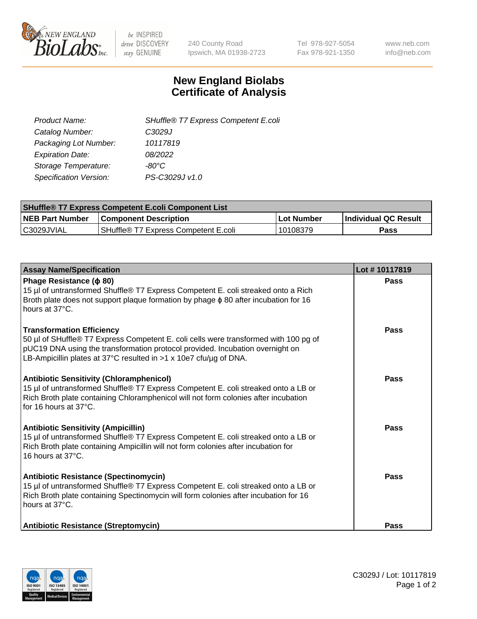

 $be$  INSPIRED drive DISCOVERY stay GENUINE

240 County Road Ipswich, MA 01938-2723 Tel 978-927-5054 Fax 978-921-1350 www.neb.com info@neb.com

## **New England Biolabs Certificate of Analysis**

| SHuffle® T7 Express Competent E.coli |
|--------------------------------------|
| C3029J                               |
| 10117819                             |
| 08/2022                              |
| -80°C                                |
| PS-C3029J v1.0                       |
|                                      |

| <b>SHuffle<sup>®</sup> T7 Express Competent E.coli Component List</b> |                                      |            |                             |  |
|-----------------------------------------------------------------------|--------------------------------------|------------|-----------------------------|--|
| <b>NEB Part Number</b>                                                | <b>Component Description</b>         | Lot Number | <b>Individual QC Result</b> |  |
| C3029JVIAL                                                            | SHuffle® T7 Express Competent E.coli | 10108379   | <b>Pass</b>                 |  |

| <b>Assay Name/Specification</b>                                                                                                                                                                                                                                                | Lot #10117819 |
|--------------------------------------------------------------------------------------------------------------------------------------------------------------------------------------------------------------------------------------------------------------------------------|---------------|
| Phage Resistance ( $\phi$ 80)<br>15 µl of untransformed Shuffle® T7 Express Competent E. coli streaked onto a Rich<br>Broth plate does not support plaque formation by phage $\phi$ 80 after incubation for 16<br>hours at 37°C.                                               | Pass          |
| <b>Transformation Efficiency</b><br>50 µl of SHuffle® T7 Express Competent E. coli cells were transformed with 100 pg of<br>pUC19 DNA using the transformation protocol provided. Incubation overnight on<br>LB-Ampicillin plates at 37°C resulted in >1 x 10e7 cfu/ug of DNA. | Pass          |
| <b>Antibiotic Sensitivity (Chloramphenicol)</b><br>15 µl of untransformed Shuffle® T7 Express Competent E. coli streaked onto a LB or<br>Rich Broth plate containing Chloramphenicol will not form colonies after incubation<br>for 16 hours at 37°C.                          | <b>Pass</b>   |
| <b>Antibiotic Sensitivity (Ampicillin)</b><br>15 µl of untransformed Shuffle® T7 Express Competent E. coli streaked onto a LB or<br>Rich Broth plate containing Ampicillin will not form colonies after incubation for<br>16 hours at 37°C.                                    | Pass          |
| Antibiotic Resistance (Spectinomycin)<br>15 µl of untransformed Shuffle® T7 Express Competent E. coli streaked onto a LB or<br>Rich Broth plate containing Spectinomycin will form colonies after incubation for 16<br>hours at 37°C.                                          | <b>Pass</b>   |
| <b>Antibiotic Resistance (Streptomycin)</b>                                                                                                                                                                                                                                    | <b>Pass</b>   |